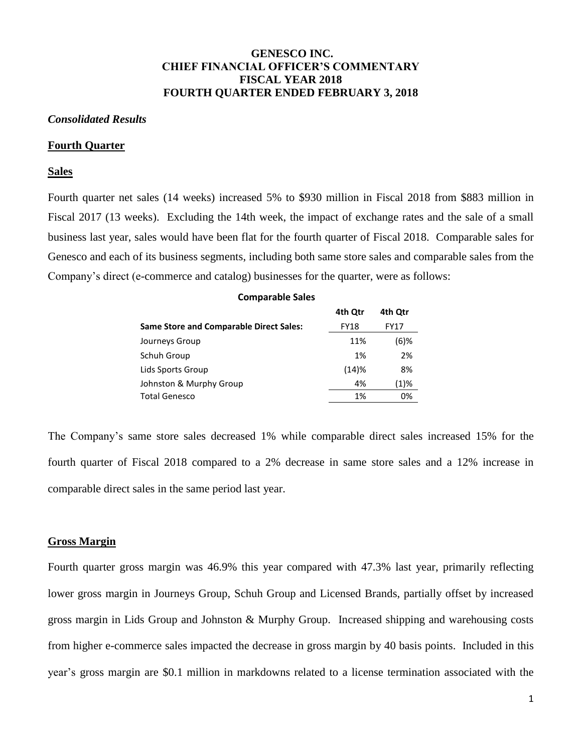## **GENESCO INC. CHIEF FINANCIAL OFFICER'S COMMENTARY FISCAL YEAR 2018 FOURTH QUARTER ENDED FEBRUARY 3, 2018**

### *Consolidated Results*

#### **Fourth Quarter**

## **Sales**

Fourth quarter net sales (14 weeks) increased 5% to \$930 million in Fiscal 2018 from \$883 million in Fiscal 2017 (13 weeks). Excluding the 14th week, the impact of exchange rates and the sale of a small business last year, sales would have been flat for the fourth quarter of Fiscal 2018. Comparable sales for Genesco and each of its business segments, including both same store sales and comparable sales from the Company's direct (e-commerce and catalog) businesses for the quarter, were as follows:

#### **Comparable Sales**

|                                                | 4th Qtr     | 4th Otr |
|------------------------------------------------|-------------|---------|
| <b>Same Store and Comparable Direct Sales:</b> | <b>FY18</b> | FY17    |
| Journeys Group                                 | 11%         | $(6)$ % |
| Schuh Group                                    | 1%          | 2%      |
| Lids Sports Group                              | (14)%       | 8%      |
| Johnston & Murphy Group                        | 4%          | (1)%    |
| <b>Total Genesco</b>                           | 1%          | 0%      |

The Company's same store sales decreased 1% while comparable direct sales increased 15% for the fourth quarter of Fiscal 2018 compared to a 2% decrease in same store sales and a 12% increase in comparable direct sales in the same period last year.

#### **Gross Margin**

Fourth quarter gross margin was 46.9% this year compared with 47.3% last year, primarily reflecting lower gross margin in Journeys Group, Schuh Group and Licensed Brands, partially offset by increased gross margin in Lids Group and Johnston & Murphy Group. Increased shipping and warehousing costs from higher e-commerce sales impacted the decrease in gross margin by 40 basis points. Included in this year's gross margin are \$0.1 million in markdowns related to a license termination associated with the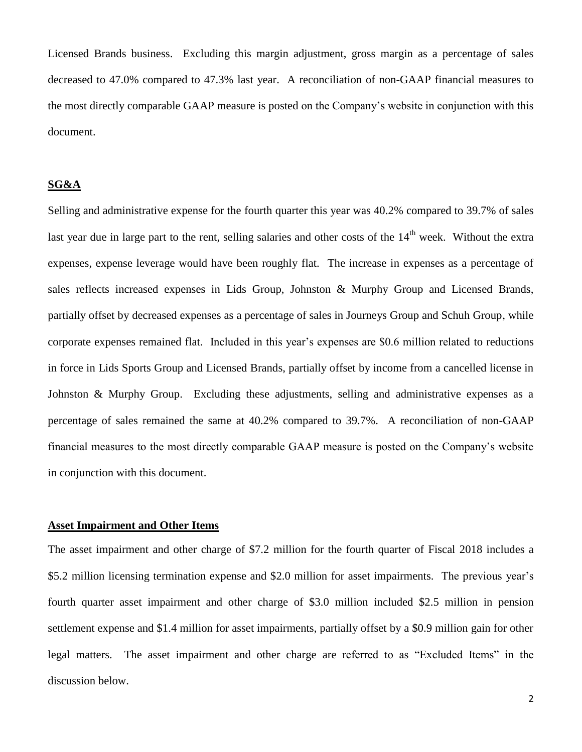Licensed Brands business. Excluding this margin adjustment, gross margin as a percentage of sales decreased to 47.0% compared to 47.3% last year. A reconciliation of non-GAAP financial measures to the most directly comparable GAAP measure is posted on the Company's website in conjunction with this document.

## **SG&A**

Selling and administrative expense for the fourth quarter this year was 40.2% compared to 39.7% of sales last year due in large part to the rent, selling salaries and other costs of the 14<sup>th</sup> week. Without the extra expenses, expense leverage would have been roughly flat. The increase in expenses as a percentage of sales reflects increased expenses in Lids Group, Johnston & Murphy Group and Licensed Brands, partially offset by decreased expenses as a percentage of sales in Journeys Group and Schuh Group, while corporate expenses remained flat. Included in this year's expenses are \$0.6 million related to reductions in force in Lids Sports Group and Licensed Brands, partially offset by income from a cancelled license in Johnston & Murphy Group. Excluding these adjustments, selling and administrative expenses as a percentage of sales remained the same at 40.2% compared to 39.7%. A reconciliation of non-GAAP financial measures to the most directly comparable GAAP measure is posted on the Company's website in conjunction with this document.

## **Asset Impairment and Other Items**

The asset impairment and other charge of \$7.2 million for the fourth quarter of Fiscal 2018 includes a \$5.2 million licensing termination expense and \$2.0 million for asset impairments. The previous year's fourth quarter asset impairment and other charge of \$3.0 million included \$2.5 million in pension settlement expense and \$1.4 million for asset impairments, partially offset by a \$0.9 million gain for other legal matters. The asset impairment and other charge are referred to as "Excluded Items" in the discussion below.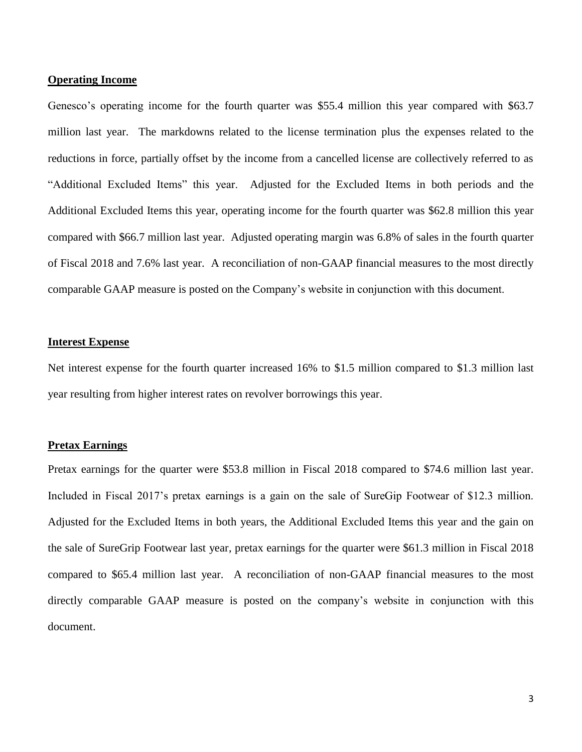### **Operating Income**

Genesco's operating income for the fourth quarter was \$55.4 million this year compared with \$63.7 million last year. The markdowns related to the license termination plus the expenses related to the reductions in force, partially offset by the income from a cancelled license are collectively referred to as "Additional Excluded Items" this year. Adjusted for the Excluded Items in both periods and the Additional Excluded Items this year, operating income for the fourth quarter was \$62.8 million this year compared with \$66.7 million last year. Adjusted operating margin was 6.8% of sales in the fourth quarter of Fiscal 2018 and 7.6% last year. A reconciliation of non-GAAP financial measures to the most directly comparable GAAP measure is posted on the Company's website in conjunction with this document.

### **Interest Expense**

Net interest expense for the fourth quarter increased 16% to \$1.5 million compared to \$1.3 million last year resulting from higher interest rates on revolver borrowings this year.

### **Pretax Earnings**

Pretax earnings for the quarter were \$53.8 million in Fiscal 2018 compared to \$74.6 million last year. Included in Fiscal 2017's pretax earnings is a gain on the sale of SureGip Footwear of \$12.3 million. Adjusted for the Excluded Items in both years, the Additional Excluded Items this year and the gain on the sale of SureGrip Footwear last year, pretax earnings for the quarter were \$61.3 million in Fiscal 2018 compared to \$65.4 million last year. A reconciliation of non-GAAP financial measures to the most directly comparable GAAP measure is posted on the company's website in conjunction with this document.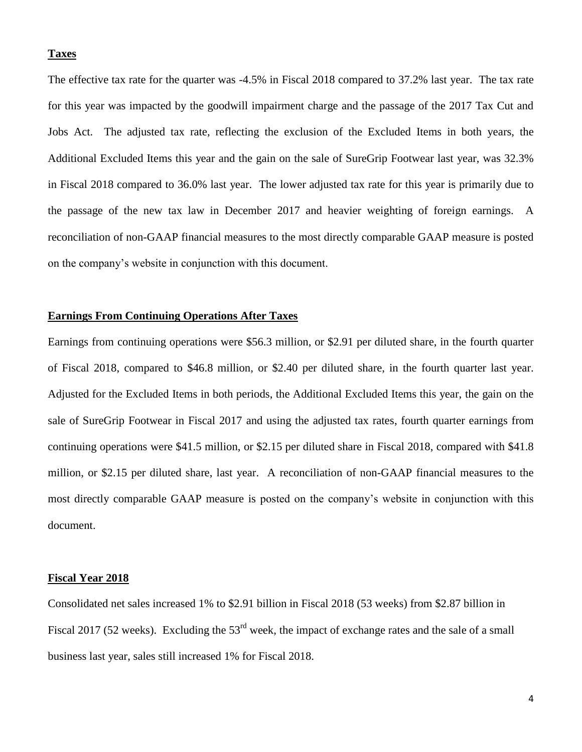### **Taxes**

The effective tax rate for the quarter was -4.5% in Fiscal 2018 compared to 37.2% last year. The tax rate for this year was impacted by the goodwill impairment charge and the passage of the 2017 Tax Cut and Jobs Act. The adjusted tax rate, reflecting the exclusion of the Excluded Items in both years, the Additional Excluded Items this year and the gain on the sale of SureGrip Footwear last year, was 32.3% in Fiscal 2018 compared to 36.0% last year. The lower adjusted tax rate for this year is primarily due to the passage of the new tax law in December 2017 and heavier weighting of foreign earnings. A reconciliation of non-GAAP financial measures to the most directly comparable GAAP measure is posted on the company's website in conjunction with this document.

### **Earnings From Continuing Operations After Taxes**

Earnings from continuing operations were \$56.3 million, or \$2.91 per diluted share, in the fourth quarter of Fiscal 2018, compared to \$46.8 million, or \$2.40 per diluted share, in the fourth quarter last year. Adjusted for the Excluded Items in both periods, the Additional Excluded Items this year, the gain on the sale of SureGrip Footwear in Fiscal 2017 and using the adjusted tax rates, fourth quarter earnings from continuing operations were \$41.5 million, or \$2.15 per diluted share in Fiscal 2018, compared with \$41.8 million, or \$2.15 per diluted share, last year. A reconciliation of non-GAAP financial measures to the most directly comparable GAAP measure is posted on the company's website in conjunction with this document.

### **Fiscal Year 2018**

Consolidated net sales increased 1% to \$2.91 billion in Fiscal 2018 (53 weeks) from \$2.87 billion in Fiscal 2017 (52 weeks). Excluding the 53<sup>rd</sup> week, the impact of exchange rates and the sale of a small business last year, sales still increased 1% for Fiscal 2018.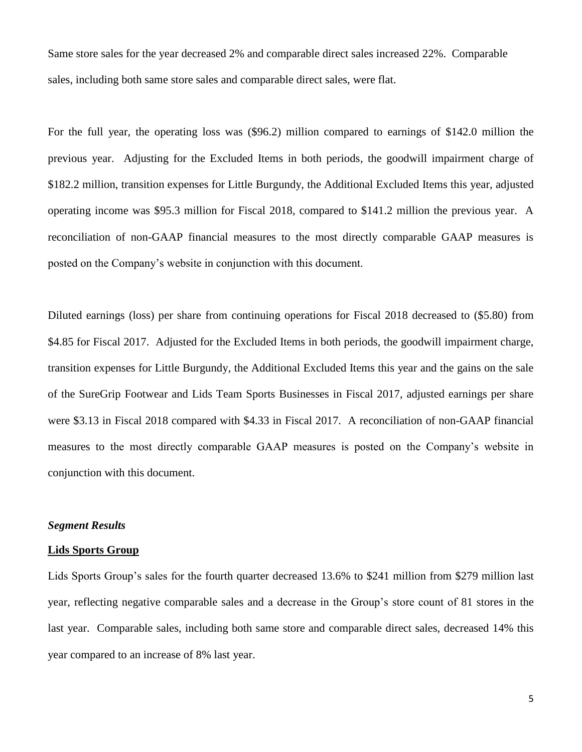Same store sales for the year decreased 2% and comparable direct sales increased 22%. Comparable sales, including both same store sales and comparable direct sales, were flat.

For the full year, the operating loss was (\$96.2) million compared to earnings of \$142.0 million the previous year. Adjusting for the Excluded Items in both periods, the goodwill impairment charge of \$182.2 million, transition expenses for Little Burgundy, the Additional Excluded Items this year, adjusted operating income was \$95.3 million for Fiscal 2018, compared to \$141.2 million the previous year. A reconciliation of non-GAAP financial measures to the most directly comparable GAAP measures is posted on the Company's website in conjunction with this document.

Diluted earnings (loss) per share from continuing operations for Fiscal 2018 decreased to (\$5.80) from \$4.85 for Fiscal 2017. Adjusted for the Excluded Items in both periods, the goodwill impairment charge, transition expenses for Little Burgundy, the Additional Excluded Items this year and the gains on the sale of the SureGrip Footwear and Lids Team Sports Businesses in Fiscal 2017, adjusted earnings per share were \$3.13 in Fiscal 2018 compared with \$4.33 in Fiscal 2017. A reconciliation of non-GAAP financial measures to the most directly comparable GAAP measures is posted on the Company's website in conjunction with this document.

## *Segment Results*

## **Lids Sports Group**

Lids Sports Group's sales for the fourth quarter decreased 13.6% to \$241 million from \$279 million last year, reflecting negative comparable sales and a decrease in the Group's store count of 81 stores in the last year. Comparable sales, including both same store and comparable direct sales, decreased 14% this year compared to an increase of 8% last year.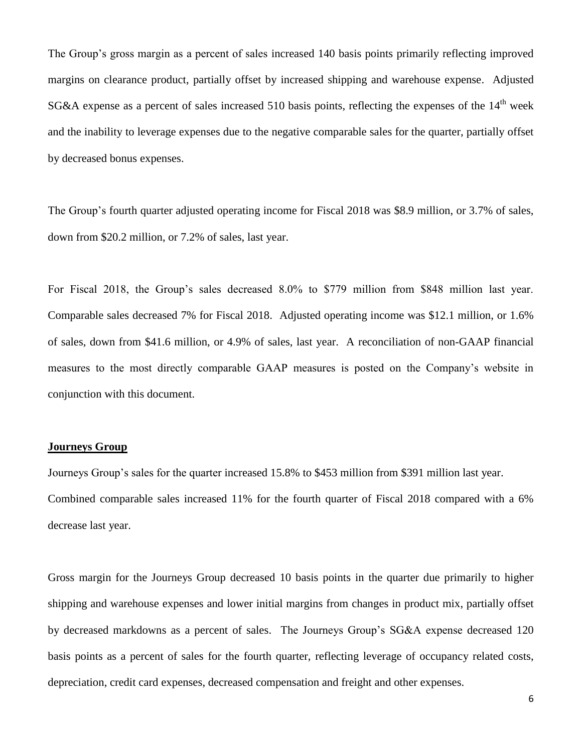The Group's gross margin as a percent of sales increased 140 basis points primarily reflecting improved margins on clearance product, partially offset by increased shipping and warehouse expense. Adjusted SG&A expense as a percent of sales increased 510 basis points, reflecting the expenses of the 14<sup>th</sup> week and the inability to leverage expenses due to the negative comparable sales for the quarter, partially offset by decreased bonus expenses.

The Group's fourth quarter adjusted operating income for Fiscal 2018 was \$8.9 million, or 3.7% of sales, down from \$20.2 million, or 7.2% of sales, last year.

For Fiscal 2018, the Group's sales decreased 8.0% to \$779 million from \$848 million last year. Comparable sales decreased 7% for Fiscal 2018. Adjusted operating income was \$12.1 million, or 1.6% of sales, down from \$41.6 million, or 4.9% of sales, last year. A reconciliation of non-GAAP financial measures to the most directly comparable GAAP measures is posted on the Company's website in conjunction with this document.

## **Journeys Group**

Journeys Group's sales for the quarter increased 15.8% to \$453 million from \$391 million last year. Combined comparable sales increased 11% for the fourth quarter of Fiscal 2018 compared with a 6% decrease last year.

Gross margin for the Journeys Group decreased 10 basis points in the quarter due primarily to higher shipping and warehouse expenses and lower initial margins from changes in product mix, partially offset by decreased markdowns as a percent of sales. The Journeys Group's SG&A expense decreased 120 basis points as a percent of sales for the fourth quarter, reflecting leverage of occupancy related costs, depreciation, credit card expenses, decreased compensation and freight and other expenses.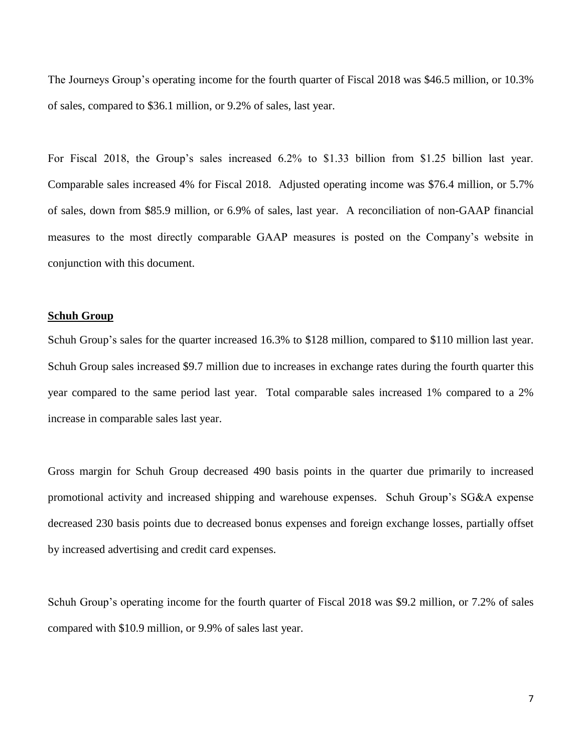The Journeys Group's operating income for the fourth quarter of Fiscal 2018 was \$46.5 million, or 10.3% of sales, compared to \$36.1 million, or 9.2% of sales, last year.

For Fiscal 2018, the Group's sales increased 6.2% to \$1.33 billion from \$1.25 billion last year. Comparable sales increased 4% for Fiscal 2018. Adjusted operating income was \$76.4 million, or 5.7% of sales, down from \$85.9 million, or 6.9% of sales, last year. A reconciliation of non-GAAP financial measures to the most directly comparable GAAP measures is posted on the Company's website in conjunction with this document.

### **Schuh Group**

Schuh Group's sales for the quarter increased 16.3% to \$128 million, compared to \$110 million last year. Schuh Group sales increased \$9.7 million due to increases in exchange rates during the fourth quarter this year compared to the same period last year. Total comparable sales increased 1% compared to a 2% increase in comparable sales last year.

Gross margin for Schuh Group decreased 490 basis points in the quarter due primarily to increased promotional activity and increased shipping and warehouse expenses. Schuh Group's SG&A expense decreased 230 basis points due to decreased bonus expenses and foreign exchange losses, partially offset by increased advertising and credit card expenses.

Schuh Group's operating income for the fourth quarter of Fiscal 2018 was \$9.2 million, or 7.2% of sales compared with \$10.9 million, or 9.9% of sales last year.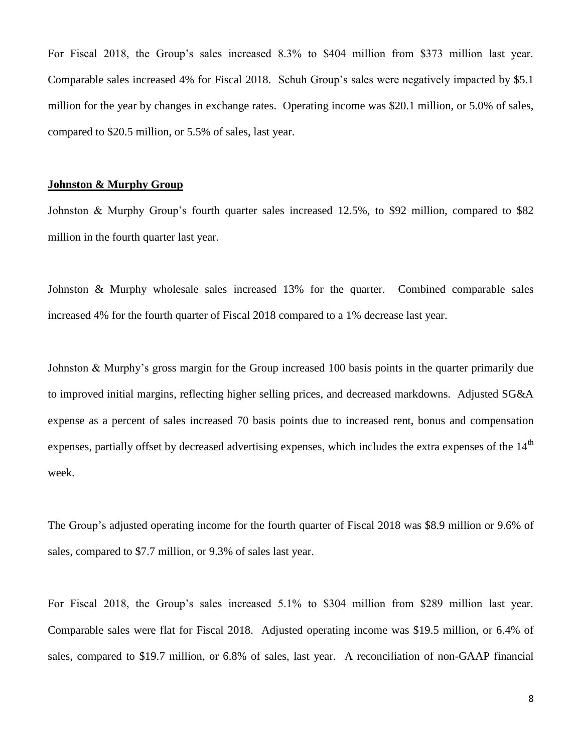For Fiscal 2018, the Group's sales increased 8.3% to \$404 million from \$373 million last year. Comparable sales increased 4% for Fiscal 2018. Schuh Group's sales were negatively impacted by \$5.1 million for the year by changes in exchange rates. Operating income was \$20.1 million, or 5.0% of sales, compared to \$20.5 million, or 5.5% of sales, last year.

### **Johnston & Murphy Group**

Johnston & Murphy Group's fourth quarter sales increased 12.5%, to \$92 million, compared to \$82 million in the fourth quarter last year.

Johnston & Murphy wholesale sales increased 13% for the quarter. Combined comparable sales increased 4% for the fourth quarter of Fiscal 2018 compared to a 1% decrease last year.

Johnston & Murphy's gross margin for the Group increased 100 basis points in the quarter primarily due to improved initial margins, reflecting higher selling prices, and decreased markdowns. Adjusted SG&A expense as a percent of sales increased 70 basis points due to increased rent, bonus and compensation expenses, partially offset by decreased advertising expenses, which includes the extra expenses of the 14<sup>th</sup> week.

The Group's adjusted operating income for the fourth quarter of Fiscal 2018 was \$8.9 million or 9.6% of sales, compared to \$7.7 million, or 9.3% of sales last year.

For Fiscal 2018, the Group's sales increased 5.1% to \$304 million from \$289 million last year. Comparable sales were flat for Fiscal 2018. Adjusted operating income was \$19.5 million, or 6.4% of sales, compared to \$19.7 million, or 6.8% of sales, last year. A reconciliation of non-GAAP financial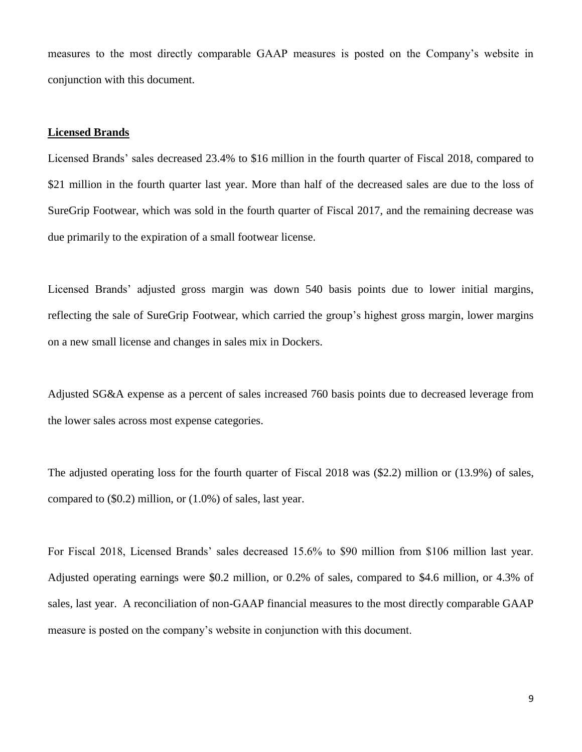measures to the most directly comparable GAAP measures is posted on the Company's website in conjunction with this document.

### **Licensed Brands**

Licensed Brands' sales decreased 23.4% to \$16 million in the fourth quarter of Fiscal 2018, compared to \$21 million in the fourth quarter last year. More than half of the decreased sales are due to the loss of SureGrip Footwear, which was sold in the fourth quarter of Fiscal 2017, and the remaining decrease was due primarily to the expiration of a small footwear license.

Licensed Brands' adjusted gross margin was down 540 basis points due to lower initial margins, reflecting the sale of SureGrip Footwear, which carried the group's highest gross margin, lower margins on a new small license and changes in sales mix in Dockers.

Adjusted SG&A expense as a percent of sales increased 760 basis points due to decreased leverage from the lower sales across most expense categories.

The adjusted operating loss for the fourth quarter of Fiscal 2018 was (\$2.2) million or (13.9%) of sales, compared to (\$0.2) million, or (1.0%) of sales, last year.

For Fiscal 2018, Licensed Brands' sales decreased 15.6% to \$90 million from \$106 million last year. Adjusted operating earnings were \$0.2 million, or 0.2% of sales, compared to \$4.6 million, or 4.3% of sales, last year. A reconciliation of non-GAAP financial measures to the most directly comparable GAAP measure is posted on the company's website in conjunction with this document.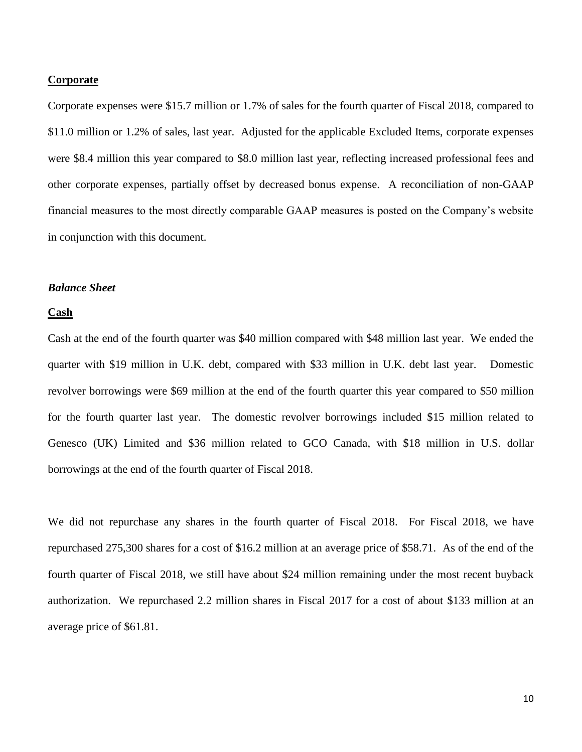#### **Corporate**

Corporate expenses were \$15.7 million or 1.7% of sales for the fourth quarter of Fiscal 2018, compared to \$11.0 million or 1.2% of sales, last year. Adjusted for the applicable Excluded Items, corporate expenses were \$8.4 million this year compared to \$8.0 million last year, reflecting increased professional fees and other corporate expenses, partially offset by decreased bonus expense. A reconciliation of non-GAAP financial measures to the most directly comparable GAAP measures is posted on the Company's website in conjunction with this document.

### *Balance Sheet*

### **Cash**

Cash at the end of the fourth quarter was \$40 million compared with \$48 million last year. We ended the quarter with \$19 million in U.K. debt, compared with \$33 million in U.K. debt last year. Domestic revolver borrowings were \$69 million at the end of the fourth quarter this year compared to \$50 million for the fourth quarter last year. The domestic revolver borrowings included \$15 million related to Genesco (UK) Limited and \$36 million related to GCO Canada, with \$18 million in U.S. dollar borrowings at the end of the fourth quarter of Fiscal 2018.

We did not repurchase any shares in the fourth quarter of Fiscal 2018. For Fiscal 2018, we have repurchased 275,300 shares for a cost of \$16.2 million at an average price of \$58.71. As of the end of the fourth quarter of Fiscal 2018, we still have about \$24 million remaining under the most recent buyback authorization. We repurchased 2.2 million shares in Fiscal 2017 for a cost of about \$133 million at an average price of \$61.81.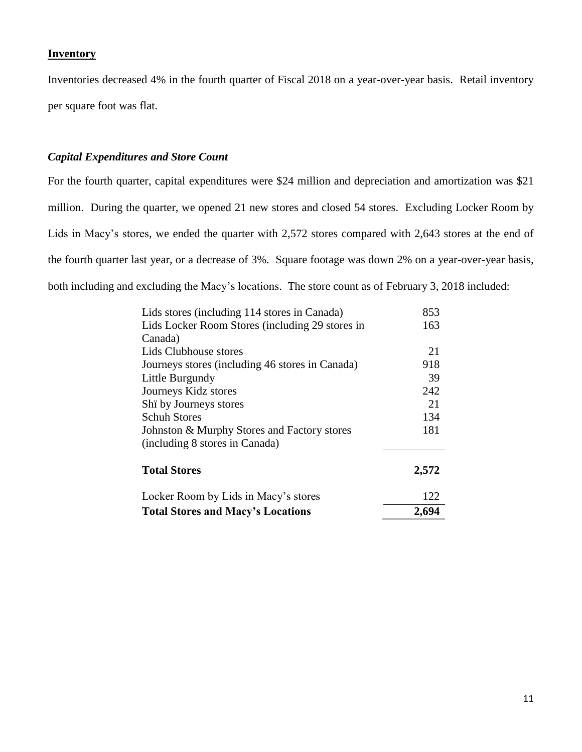## **Inventory**

Inventories decreased 4% in the fourth quarter of Fiscal 2018 on a year-over-year basis. Retail inventory per square foot was flat.

# *Capital Expenditures and Store Count*

For the fourth quarter, capital expenditures were \$24 million and depreciation and amortization was \$21 million. During the quarter, we opened 21 new stores and closed 54 stores. Excluding Locker Room by Lids in Macy's stores, we ended the quarter with 2,572 stores compared with 2,643 stores at the end of the fourth quarter last year, or a decrease of 3%. Square footage was down 2% on a year-over-year basis, both including and excluding the Macy's locations. The store count as of February 3, 2018 included:

| <b>Total Stores and Macy's Locations</b>        | 122<br>2,694 |  |
|-------------------------------------------------|--------------|--|
| Locker Room by Lids in Macy's stores            |              |  |
| <b>Total Stores</b>                             | 2,572        |  |
| (including 8 stores in Canada)                  |              |  |
| Johnston & Murphy Stores and Factory stores     | 181          |  |
| <b>Schuh Stores</b>                             | 134          |  |
| Shi by Journeys stores                          | 21           |  |
| Journeys Kidz stores                            | 242          |  |
| Little Burgundy                                 | 39           |  |
| Journeys stores (including 46 stores in Canada) | 918          |  |
| Lids Clubhouse stores                           | 21           |  |
| Canada)                                         |              |  |
| Lids Locker Room Stores (including 29 stores in | 163          |  |
| Lids stores (including 114 stores in Canada)    | 853          |  |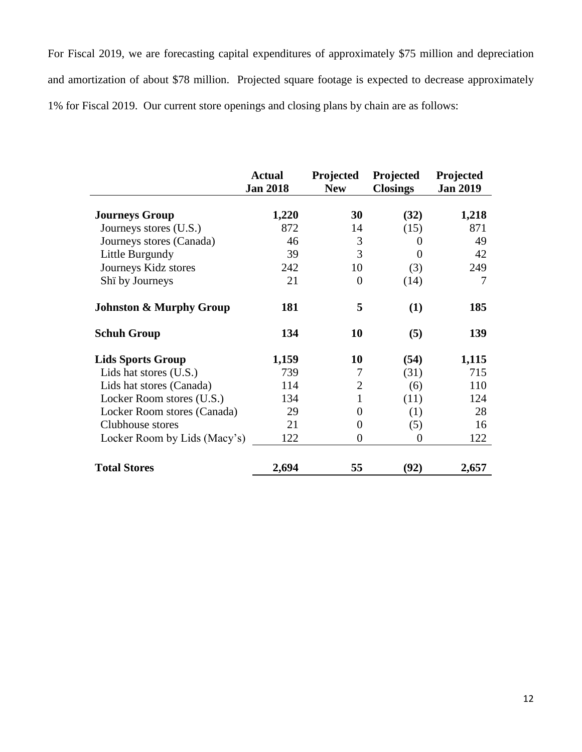For Fiscal 2019, we are forecasting capital expenditures of approximately \$75 million and depreciation and amortization of about \$78 million. Projected square footage is expected to decrease approximately 1% for Fiscal 2019. Our current store openings and closing plans by chain are as follows:

|                                    | <b>Actual</b><br><b>Jan 2018</b> | Projected<br><b>New</b> | Projected<br><b>Closings</b> | Projected<br><b>Jan 2019</b> |
|------------------------------------|----------------------------------|-------------------------|------------------------------|------------------------------|
| <b>Journeys Group</b>              | 1,220                            | 30                      | (32)                         | 1,218                        |
| Journeys stores (U.S.)             | 872                              | 14                      | (15)                         | 871                          |
| Journeys stores (Canada)           | 46                               | 3                       | 0                            | 49                           |
| Little Burgundy                    | 39                               | 3                       | $\Omega$                     | 42                           |
| Journeys Kidz stores               | 242                              | 10                      | (3)                          | 249                          |
| Shi by Journeys                    | 21                               | $\theta$                | (14)                         | 7                            |
| <b>Johnston &amp; Murphy Group</b> | 181                              | 5                       | (1)                          | 185                          |
| <b>Schuh Group</b>                 | 134                              | 10                      | (5)                          | 139                          |
| <b>Lids Sports Group</b>           | 1,159                            | <b>10</b>               | (54)                         | 1,115                        |
| Lids hat stores (U.S.)             | 739                              | 7                       | (31)                         | 715                          |
| Lids hat stores (Canada)           | 114                              | $\overline{2}$          | (6)                          | 110                          |
| Locker Room stores (U.S.)          | 134                              | 1                       | (11)                         | 124                          |
| Locker Room stores (Canada)        | 29                               | $\theta$                | (1)                          | 28                           |
| Clubhouse stores                   | 21                               | 0                       | (5)                          | 16                           |
| Locker Room by Lids (Macy's)       | 122                              | $\boldsymbol{0}$        | $\overline{0}$               | 122                          |
| <b>Total Stores</b>                | 2,694                            | 55                      | (92)                         | 2,657                        |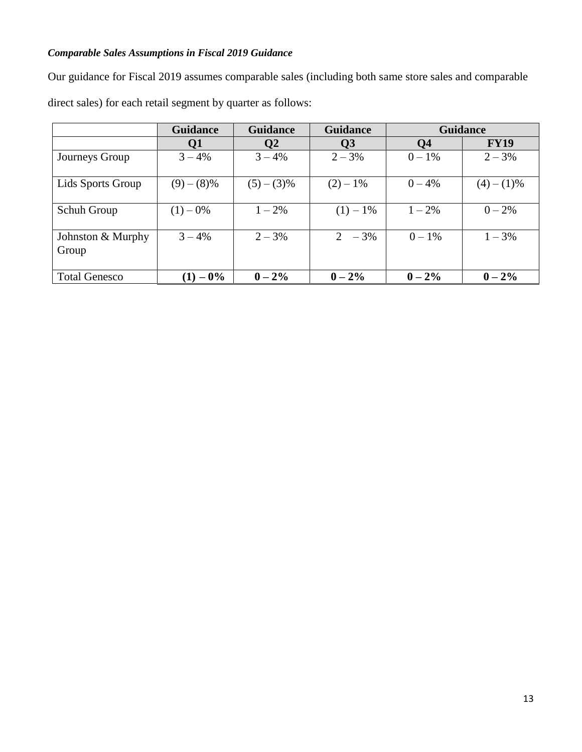# *Comparable Sales Assumptions in Fiscal 2019 Guidance*

Our guidance for Fiscal 2019 assumes comparable sales (including both same store sales and comparable direct sales) for each retail segment by quarter as follows:

|                            | <b>Guidance</b> | <b>Guidance</b> | <b>Guidance</b> | <b>Guidance</b> |             |
|----------------------------|-----------------|-----------------|-----------------|-----------------|-------------|
|                            | Q1              | Q2              | Q <sub>3</sub>  | Q <sub>4</sub>  | <b>FY19</b> |
| Journeys Group             | $3 - 4\%$       | $3 - 4\%$       | $2 - 3%$        | $0 - 1\%$       | $2 - 3%$    |
| Lids Sports Group          | $(9)-(8)\%$     | $(5)-(3)\%$     | $(2) - 1\%$     | $0 - 4\%$       | $(4)-(1)\%$ |
| Schuh Group                | $(1) - 0\%$     | $1 - 2\%$       | $(1) - 1\%$     | $1 - 2\%$       | $0 - 2\%$   |
| Johnston & Murphy<br>Group | $3 - 4\%$       | $2 - 3\%$       | $2 - 3\%$       | $0 - 1\%$       | $1 - 3\%$   |
| <b>Total Genesco</b>       | $(1) - 0\%$     | $0 - 2\%$       | $0 - 2\%$       | $0 - 2\%$       | $0 - 2\%$   |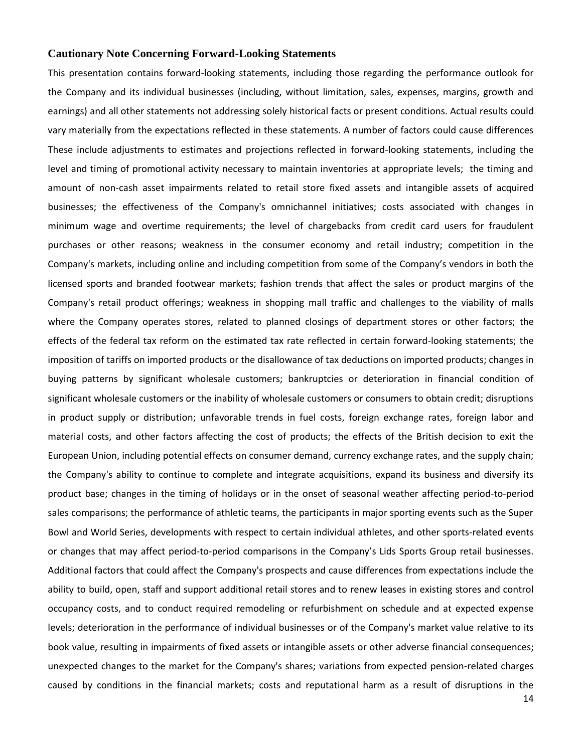### **Cautionary Note Concerning Forward-Looking Statements**

This presentation contains forward-looking statements, including those regarding the performance outlook for the Company and its individual businesses (including, without limitation, sales, expenses, margins, growth and earnings) and all other statements not addressing solely historical facts or present conditions. Actual results could vary materially from the expectations reflected in these statements. A number of factors could cause differences These include adjustments to estimates and projections reflected in forward-looking statements, including the level and timing of promotional activity necessary to maintain inventories at appropriate levels; the timing and amount of non-cash asset impairments related to retail store fixed assets and intangible assets of acquired businesses; the effectiveness of the Company's omnichannel initiatives; costs associated with changes in minimum wage and overtime requirements; the level of chargebacks from credit card users for fraudulent purchases or other reasons; weakness in the consumer economy and retail industry; competition in the Company's markets, including online and including competition from some of the Company's vendors in both the licensed sports and branded footwear markets; fashion trends that affect the sales or product margins of the Company's retail product offerings; weakness in shopping mall traffic and challenges to the viability of malls where the Company operates stores, related to planned closings of department stores or other factors; the effects of the federal tax reform on the estimated tax rate reflected in certain forward-looking statements; the imposition of tariffs on imported products or the disallowance of tax deductions on imported products; changes in buying patterns by significant wholesale customers; bankruptcies or deterioration in financial condition of significant wholesale customers or the inability of wholesale customers or consumers to obtain credit; disruptions in product supply or distribution; unfavorable trends in fuel costs, foreign exchange rates, foreign labor and material costs, and other factors affecting the cost of products; the effects of the British decision to exit the European Union, including potential effects on consumer demand, currency exchange rates, and the supply chain; the Company's ability to continue to complete and integrate acquisitions, expand its business and diversify its product base; changes in the timing of holidays or in the onset of seasonal weather affecting period-to-period sales comparisons; the performance of athletic teams, the participants in major sporting events such as the Super Bowl and World Series, developments with respect to certain individual athletes, and other sports-related events or changes that may affect period-to-period comparisons in the Company's Lids Sports Group retail businesses. Additional factors that could affect the Company's prospects and cause differences from expectations include the ability to build, open, staff and support additional retail stores and to renew leases in existing stores and control occupancy costs, and to conduct required remodeling or refurbishment on schedule and at expected expense levels; deterioration in the performance of individual businesses or of the Company's market value relative to its book value, resulting in impairments of fixed assets or intangible assets or other adverse financial consequences; unexpected changes to the market for the Company's shares; variations from expected pension-related charges caused by conditions in the financial markets; costs and reputational harm as a result of disruptions in the